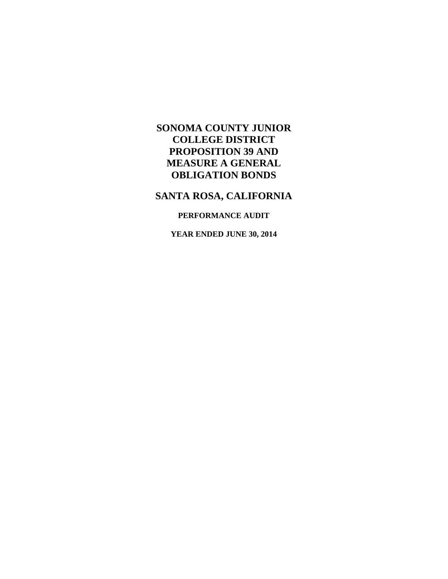# **SANTA ROSA, CALIFORNIA**

### **PERFORMANCE AUDIT**

**YEAR ENDED JUNE 30, 2014**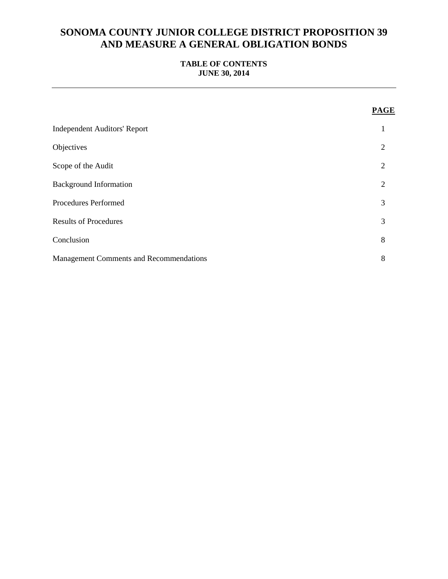### **TABLE OF CONTENTS JUNE 30, 2014**

|                                                | <b>PAGE</b> |
|------------------------------------------------|-------------|
| <b>Independent Auditors' Report</b>            | 1           |
| Objectives                                     | 2           |
| Scope of the Audit                             | 2           |
| <b>Background Information</b>                  | 2           |
| Procedures Performed                           | 3           |
| <b>Results of Procedures</b>                   | 3           |
| Conclusion                                     | 8           |
| <b>Management Comments and Recommendations</b> | 8           |
|                                                |             |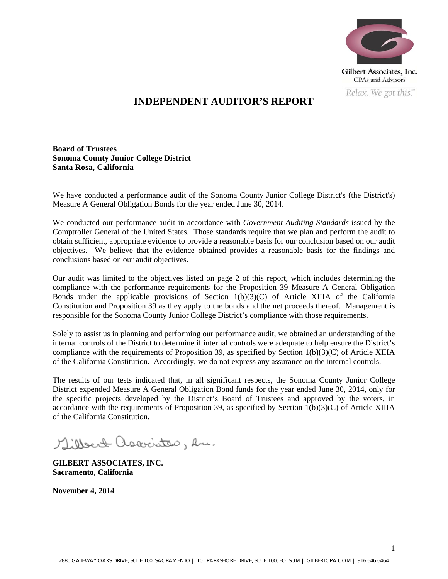

## **INDEPENDENT AUDITOR'S REPORT**

**Board of Trustees Sonoma County Junior College District Santa Rosa, California** 

We have conducted a performance audit of the Sonoma County Junior College District's (the District's) Measure A General Obligation Bonds for the year ended June 30, 2014.

We conducted our performance audit in accordance with *Government Auditing Standards* issued by the Comptroller General of the United States. Those standards require that we plan and perform the audit to obtain sufficient, appropriate evidence to provide a reasonable basis for our conclusion based on our audit objectives. We believe that the evidence obtained provides a reasonable basis for the findings and conclusions based on our audit objectives.

Our audit was limited to the objectives listed on page 2 of this report, which includes determining the compliance with the performance requirements for the Proposition 39 Measure A General Obligation Bonds under the applicable provisions of Section 1(b)(3)(C) of Article XIIIA of the California Constitution and Proposition 39 as they apply to the bonds and the net proceeds thereof. Management is responsible for the Sonoma County Junior College District's compliance with those requirements.

Solely to assist us in planning and performing our performance audit, we obtained an understanding of the internal controls of the District to determine if internal controls were adequate to help ensure the District's compliance with the requirements of Proposition 39, as specified by Section  $1(b)(3)(C)$  of Article XIIIA of the California Constitution. Accordingly, we do not express any assurance on the internal controls.

The results of our tests indicated that, in all significant respects, the Sonoma County Junior College District expended Measure A General Obligation Bond funds for the year ended June 30, 2014, only for the specific projects developed by the District's Board of Trustees and approved by the voters, in accordance with the requirements of Proposition 39, as specified by Section 1(b)(3)(C) of Article XIIIA of the California Constitution.

Millert associates, en.

**GILBERT ASSOCIATES, INC. Sacramento, California** 

**November 4, 2014**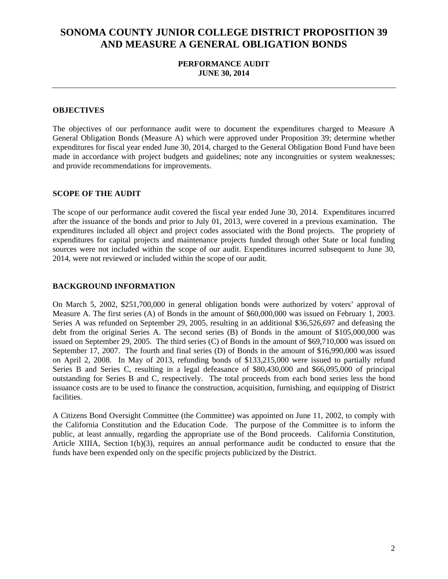### **PERFORMANCE AUDIT JUNE 30, 2014**

#### **OBJECTIVES**

 made in accordance with project budgets and guidelines; note any incongruities or system weaknesses; The objectives of our performance audit were to document the expenditures charged to Measure A General Obligation Bonds (Measure A) which were approved under Proposition 39; determine whether expenditures for fiscal year ended June 30, 2014, charged to the General Obligation Bond Fund have been and provide recommendations for improvements.

#### **SCOPE OF THE AUDIT**

The scope of our performance audit covered the fiscal year ended June 30, 2014. Expenditures incurred after the issuance of the bonds and prior to July 01, 2013, were covered in a previous examination. The expenditures included all object and project codes associated with the Bond projects. The propriety of expenditures for capital projects and maintenance projects funded through other State or local funding sources were not included within the scope of our audit. Expenditures incurred subsequent to June 30, 2014, were not reviewed or included within the scope of our audit.

#### **BACKGROUND INFORMATION**

On March 5, 2002, \$251,700,000 in general obligation bonds were authorized by voters' approval of Measure A. The first series (A) of Bonds in the amount of \$60,000,000 was issued on February 1, 2003. Series A was refunded on September 29, 2005, resulting in an additional \$36,526,697 and defeasing the debt from the original Series A. The second series (B) of Bonds in the amount of \$105,000,000 was issued on September 29, 2005. The third series (C) of Bonds in the amount of \$69,710,000 was issued on September 17, 2007. The fourth and final series (D) of Bonds in the amount of \$16,990,000 was issued on April 2, 2008. In May of 2013, refunding bonds of \$133,215,000 were issued to partially refund Series B and Series C, resulting in a legal defeasance of \$80,430,000 and \$66,095,000 of principal outstanding for Series B and C, respectively. The total proceeds from each bond series less the bond issuance costs are to be used to finance the construction, acquisition, furnishing, and equipping of District facilities.

A Citizens Bond Oversight Committee (the Committee) was appointed on June 11, 2002, to comply with the California Constitution and the Education Code. The purpose of the Committee is to inform the public, at least annually, regarding the appropriate use of the Bond proceeds. California Constitution, Article XIIIA, Section 1(b)(3), requires an annual performance audit be conducted to ensure that the funds have been expended only on the specific projects publicized by the District.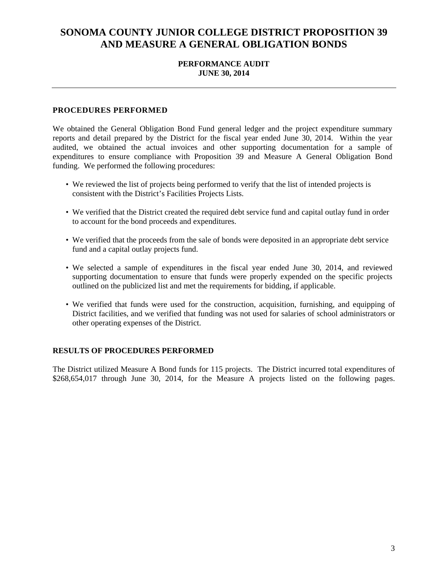### **PERFORMANCE AUDIT JUNE 30, 2014**

#### **PROCEDURES PERFORMED**

We obtained the General Obligation Bond Fund general ledger and the project expenditure summary reports and detail prepared by the District for the fiscal year ended June 30, 2014. Within the year audited, we obtained the actual invoices and other supporting documentation for a sample of expenditures to ensure compliance with Proposition 39 and Measure A General Obligation Bond funding. We performed the following procedures:

- We reviewed the list of projects being performed to verify that the list of intended projects is consistent with the District's Facilities Projects Lists.
- We verified that the District created the required debt service fund and capital outlay fund in order to account for the bond proceeds and expenditures.
- We verified that the proceeds from the sale of bonds were deposited in an appropriate debt service fund and a capital outlay projects fund.
- We selected a sample of expenditures in the fiscal year ended June 30, 2014, and reviewed supporting documentation to ensure that funds were properly expended on the specific projects outlined on the publicized list and met the requirements for bidding, if applicable.
- We verified that funds were used for the construction, acquisition, furnishing, and equipping of District facilities, and we verified that funding was not used for salaries of school administrators or other operating expenses of the District.

#### **RESULTS OF PROCEDURES PERFORMED**

The District utilized Measure A Bond funds for 115 projects. The District incurred total expenditures of \$268,654,017 through June 30, 2014, for the Measure A projects listed on the following pages.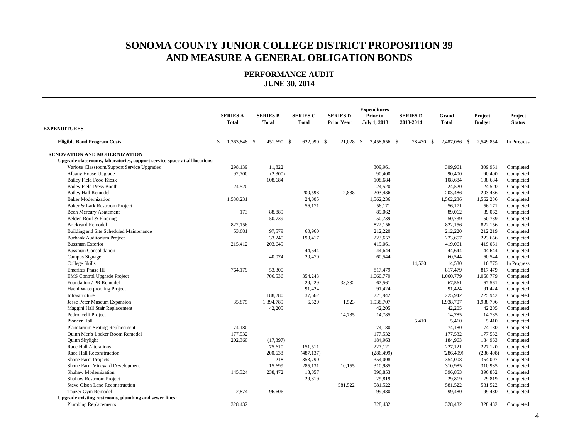| <b>EXPENDITURES</b>                                                       | <b>SERIES A</b><br><b>Total</b> | <b>SERIES B</b><br><b>Total</b> | <b>SERIES C</b><br><b>Total</b> | <b>SERIES D</b><br><b>Prior Year</b> | <b>Expenditures</b><br>Prior to<br><b>July 1, 2013</b> | <b>SERIES D</b><br>2013-2014 | Grand<br><b>Total</b> | Project<br><b>Budget</b> | Project<br><b>Status</b> |
|---------------------------------------------------------------------------|---------------------------------|---------------------------------|---------------------------------|--------------------------------------|--------------------------------------------------------|------------------------------|-----------------------|--------------------------|--------------------------|
|                                                                           |                                 |                                 |                                 |                                      |                                                        |                              |                       |                          |                          |
| <b>Eligible Bond Program Costs</b>                                        | 1,363,848 \$<br>\$              | 451,690 \$                      | 622,090 \$                      | 21,028                               | -S<br>2,458,656 \$                                     | 28,430<br>- \$               | 2,487,086 \$          | 2,549,854                | In Progress              |
| <b>RENOVATION AND MODERNIZATION</b>                                       |                                 |                                 |                                 |                                      |                                                        |                              |                       |                          |                          |
| Upgrade classrooms, laboratories, support service space at all locations: |                                 |                                 |                                 |                                      |                                                        |                              |                       |                          |                          |
| Various Classroom/Support Service Upgrades                                | 298,139                         | 11,822                          |                                 |                                      | 309,961                                                |                              | 309,961               | 309,961                  | Completed                |
| Albany House Upgrade                                                      | 92,700                          | (2,300)                         |                                 |                                      | 90,400                                                 |                              | 90,400                | 90,400                   | Completed                |
| <b>Bailey Field Food Kiosk</b>                                            |                                 | 108,684                         |                                 |                                      | 108,684                                                |                              | 108,684               | 108,684                  | Completed                |
| <b>Bailey Field Press Booth</b>                                           | 24,520                          |                                 |                                 |                                      | 24,520                                                 |                              | 24,520                | 24,520                   | Completed                |
| <b>Bailey Hall Remodel</b>                                                |                                 |                                 | 200,598                         | 2,888                                | 203,486                                                |                              | 203,486               | 203,486                  | Completed                |
| <b>Baker Modernization</b>                                                | 1,538,231                       |                                 | 24,005                          |                                      | 1,562,236                                              |                              | 1,562,236             | 1,562,236                | Completed                |
| Baker & Lark Restroom Project                                             |                                 |                                 | 56,171                          |                                      | 56,171                                                 |                              | 56,171                | 56,171                   | Completed                |
| <b>Bech Mercury Abatement</b>                                             | 173                             | 88,889                          |                                 |                                      | 89,062                                                 |                              | 89,062                | 89,062                   | Completed                |
| Belden Roof & Flooring                                                    |                                 | 50,739                          |                                 |                                      | 50,739                                                 |                              | 50,739                | 50,739                   | Completed                |
| <b>Brickyard Remodel</b>                                                  | 822,156                         |                                 |                                 |                                      | 822,156                                                |                              | 822,156               | 822,156                  | Completed                |
| Building and Site Scheduled Maintenance                                   | 53,681                          | 97,579                          | 60,960                          |                                      | 212,220                                                |                              | 212,220               | 212,219                  | Completed                |
| <b>Burbank Auditorium Project</b>                                         |                                 | 33,240                          | 190,417                         |                                      | 223,657                                                |                              | 223,657               | 223,656                  | Completed                |
| <b>Bussman Exterior</b>                                                   | 215,412                         | 203,649                         |                                 |                                      | 419,061                                                |                              | 419,061               | 419,061                  | Completed                |
| <b>Bussman Consolidation</b>                                              |                                 |                                 | 44,644                          |                                      | 44,644                                                 |                              | 44,644                | 44,644                   | Completed                |
| Campus Signage                                                            |                                 | 40,074                          | 20,470                          |                                      | 60,544                                                 |                              | 60,544                | 60,544                   | Completed                |
| College Skills                                                            |                                 |                                 |                                 |                                      |                                                        | 14,530                       | 14,530                | 16,775                   | In Progress              |
| Emeritus Phase III                                                        | 764,179                         | 53,300                          |                                 |                                      | 817,479                                                |                              | 817,479               | 817,479                  | Completed                |
| <b>EMS</b> Control Upgrade Project                                        |                                 | 706,536                         | 354,243                         |                                      | 1,060,779                                              |                              | 1,060,779             | 1,060,779                | Completed                |
| Foundation / PR Remodel                                                   |                                 |                                 | 29,229                          | 38,332                               | 67,561                                                 |                              | 67,561                | 67,561                   | Completed                |
| Haehl Waterproofing Project                                               |                                 |                                 | 91,424                          |                                      | 91,424                                                 |                              | 91,424                | 91,424                   | Completed                |
| Infrastructure                                                            |                                 | 188,280                         | 37,662                          |                                      | 225,942                                                |                              | 225,942               | 225,942                  | Completed                |
| Jesse Peter Museum Expansion                                              | 35,875                          | 1,894,789                       | 6,520                           | 1,523                                | 1,938,707                                              |                              | 1,938,707             | 1,938,706                | Completed                |
| Maggini Hall Stair Replacement                                            |                                 | 42,205                          |                                 |                                      | 42,205                                                 |                              | 42,205                | 42,205                   | Completed                |
| Pedroncelli Project                                                       |                                 |                                 |                                 | 14,785                               | 14,785                                                 |                              | 14,785                | 14,785                   | Completed                |
| Pioneer Hall                                                              |                                 |                                 |                                 |                                      |                                                        | 5,410                        | 5,410                 | 5,410                    | Completed                |
| Planetarium Seating Replacement                                           | 74,180                          |                                 |                                 |                                      | 74,180                                                 |                              | 74,180                | 74,180                   | Completed                |
| Quinn Men's Locker Room Remodel                                           | 177,532                         |                                 |                                 |                                      | 177,532                                                |                              | 177,532               | 177,532                  | Completed                |
| Quinn Skylight                                                            | 202,360                         | (17, 397)                       |                                 |                                      | 184,963                                                |                              | 184,963               | 184,963                  | Completed                |
| Race Hall Alterations                                                     |                                 | 75,610                          | 151,511                         |                                      | 227,121                                                |                              | 227,121               | 227,120                  | Completed                |
| Race Hall Reconstruction                                                  |                                 | 200,638                         | (487, 137)                      |                                      | (286, 499)                                             |                              | (286, 499)            | (286, 498)               | Completed                |
| Shone Farm Projects                                                       |                                 | 218                             | 353,790                         |                                      | 354,008                                                |                              | 354,008               | 354,007                  | Completed                |
| Shone Farm Vineyard Development                                           |                                 | 15,699                          | 285,131                         | 10,155                               | 310,985                                                |                              | 310,985               | 310,985                  | Completed                |
| Shuhaw Modernization                                                      | 145,324                         | 238,472                         | 13,057                          |                                      | 396,853                                                |                              | 396,853               | 396,852                  | Completed                |
| Shuhaw Restroom Project                                                   |                                 |                                 | 29,819                          |                                      | 29,819                                                 |                              | 29,819                | 29,819                   | Completed                |
| Steve Olson Lane Reconstruction                                           |                                 |                                 |                                 | 581,522                              | 581,522                                                |                              | 581,522               | 581,522                  | Completed                |
| Tauzer Gym Remodel                                                        | 2,874                           | 96,606                          |                                 |                                      | 99,480                                                 |                              | 99,480                | 99,480                   | Completed                |
| Upgrade existing restrooms, plumbing and sewer lines:                     |                                 |                                 |                                 |                                      |                                                        |                              |                       |                          |                          |
| <b>Plumbing Replacements</b>                                              | 328,432                         |                                 |                                 |                                      | 328,432                                                |                              | 328,432               | 328,432                  | Completed                |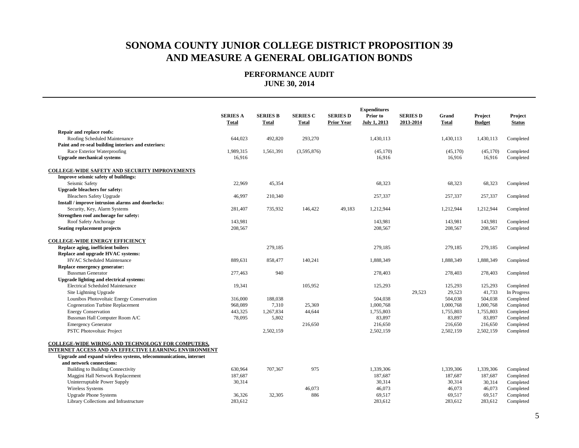|                                                                   | <b>SERIES A</b><br><b>Total</b> | <b>SERIES B</b><br><b>Total</b> | <b>SERIES C</b><br><b>Total</b> | <b>SERIES D</b><br><b>Prior Year</b> | <b>Expenditures</b><br>Prior to<br>July 1, 2013 | <b>SERIES D</b><br>2013-2014 | Grand<br><b>Total</b> | Project<br><b>Budget</b> | Project<br><b>Status</b> |
|-------------------------------------------------------------------|---------------------------------|---------------------------------|---------------------------------|--------------------------------------|-------------------------------------------------|------------------------------|-----------------------|--------------------------|--------------------------|
| Repair and replace roofs:                                         |                                 |                                 |                                 |                                      |                                                 |                              |                       |                          |                          |
| Roofing Scheduled Maintenance                                     | 644,023                         | 492,820                         | 293,270                         |                                      | 1,430,113                                       |                              | 1,430,113             | 1,430,113                | Completed                |
| Paint and re-seal building interiors and exteriors:               |                                 |                                 |                                 |                                      |                                                 |                              |                       |                          |                          |
| Race Exterior Waterproofing                                       | 1,989,315                       | 1,561,391                       | (3,595,876)                     |                                      | (45, 170)                                       |                              | (45,170)              | (45, 170)                | Completed                |
| <b>Upgrade mechanical systems</b>                                 | 16,916                          |                                 |                                 |                                      | 16,916                                          |                              | 16,916                | 16,916                   | Completed                |
| <b>COLLEGE-WIDE SAFETY AND SECURITY IMPROVEMENTS</b>              |                                 |                                 |                                 |                                      |                                                 |                              |                       |                          |                          |
| Improve seismic safety of buildings:                              |                                 |                                 |                                 |                                      |                                                 |                              |                       |                          |                          |
| Seismic Safety                                                    | 22,969                          | 45,354                          |                                 |                                      | 68,323                                          |                              | 68,323                | 68,323                   | Completed                |
| <b>Upgrade bleachers for safety:</b>                              |                                 |                                 |                                 |                                      |                                                 |                              |                       |                          |                          |
| <b>Bleachers Safety Upgrade</b>                                   | 46,997                          | 210,340                         |                                 |                                      | 257,337                                         |                              | 257,337               | 257,337                  | Completed                |
| Install / improve intrusion alarms and doorlocks:                 |                                 |                                 |                                 |                                      |                                                 |                              |                       |                          |                          |
| Security, Key, Alarm Systems                                      | 281,407                         | 735,932                         | 146,422                         | 49,183                               | 1,212,944                                       |                              | 1,212,944             | 1,212,944                | Completed                |
| Strengthen roof anchorage for safety:                             |                                 |                                 |                                 |                                      |                                                 |                              |                       |                          |                          |
| Roof Safety Anchorage                                             | 143,981                         |                                 |                                 |                                      | 143,981                                         |                              | 143,981               | 143,981                  | Completed                |
| <b>Seating replacement projects</b>                               | 208,567                         |                                 |                                 |                                      | 208,567                                         |                              | 208,567               | 208,567                  | Completed                |
| <b>COLLEGE-WIDE ENERGY EFFICIENCY</b>                             |                                 |                                 |                                 |                                      |                                                 |                              |                       |                          |                          |
| Replace aging, inefficient boilers                                |                                 | 279,185                         |                                 |                                      | 279,185                                         |                              | 279,185               | 279,185                  | Completed                |
| Replace and upgrade HVAC systems:                                 |                                 |                                 |                                 |                                      |                                                 |                              |                       |                          |                          |
| <b>HVAC Scheduled Maintenance</b>                                 | 889,631                         | 858,477                         | 140,241                         |                                      | 1,888,349                                       |                              | 1,888,349             | 1,888,349                | Completed                |
| Replace emergency generator:                                      |                                 |                                 |                                 |                                      |                                                 |                              |                       |                          |                          |
| <b>Bussman Generator</b>                                          | 277,463                         | 940                             |                                 |                                      | 278,403                                         |                              | 278,403               | 278,403                  | Completed                |
| Upgrade lighting and electrical systems:                          |                                 |                                 |                                 |                                      |                                                 |                              |                       |                          |                          |
| <b>Electrical Scheduled Maintenance</b>                           | 19,341                          |                                 | 105,952                         |                                      | 125,293                                         |                              | 125,293               | 125,293                  | Completed                |
| Site Lightning Upgrade                                            |                                 |                                 |                                 |                                      |                                                 | 29,523                       | 29,523                | 41,733                   | In Progress              |
| Lounibos Photovoltaic Energy Conservation                         | 316,000                         | 188,038                         |                                 |                                      | 504,038                                         |                              | 504,038               | 504,038                  | Completed                |
| <b>Cogeneration Turbine Replacement</b>                           | 968,089                         | 7,310                           | 25,369                          |                                      | 1,000,768                                       |                              | 1,000,768             | 1,000,768                | Completed                |
| <b>Energy Conservation</b>                                        | 443,325                         | 1,267,834                       | 44,644                          |                                      | 1,755,803                                       |                              | 1,755,803             | 1,755,803                | Completed                |
| Bussman Hall Computer Room A/C                                    | 78,095                          | 5,802                           |                                 |                                      | 83,897                                          |                              | 83,897                | 83,897                   | Completed                |
| <b>Emergency Generator</b>                                        |                                 |                                 | 216,650                         |                                      | 216,650                                         |                              | 216,650               | 216,650                  | Completed                |
| <b>PSTC Photovoltaic Project</b>                                  |                                 | 2,502,159                       |                                 |                                      | 2,502,159                                       |                              | 2,502,159             | 2,502,159                | Completed                |
| COLLEGE-WIDE WIRING AND TECHNOLOGY FOR COMPUTERS,                 |                                 |                                 |                                 |                                      |                                                 |                              |                       |                          |                          |
| INTERNET ACCESS AND AN EFFECTIVE LEARNING ENVIRONMENT             |                                 |                                 |                                 |                                      |                                                 |                              |                       |                          |                          |
| Upgrade and expand wireless systems, telecommunications, internet |                                 |                                 |                                 |                                      |                                                 |                              |                       |                          |                          |
| and network connections:                                          |                                 |                                 |                                 |                                      |                                                 |                              |                       |                          |                          |
| <b>Building to Building Connectivity</b>                          | 630.964                         | 707,367                         | 975                             |                                      | 1,339,306                                       |                              | 1,339,306             | 1,339,306                | Completed                |
| Maggini Hall Network Replacement                                  | 187,687                         |                                 |                                 |                                      | 187,687                                         |                              | 187,687               | 187,687                  | Completed                |
| Uninterruptable Power Supply                                      | 30,314                          |                                 |                                 |                                      | 30,314                                          |                              | 30,314                | 30,314                   | Completed                |
| Wireless Systems                                                  |                                 |                                 | 46,073                          |                                      | 46,073                                          |                              | 46,073                | 46,073                   | Completed                |
| <b>Upgrade Phone Systems</b>                                      | 36,326                          | 32,305                          | 886                             |                                      | 69,517                                          |                              | 69,517                | 69,517                   | Completed                |
| Library Collections and Infrastructure                            | 283,612                         |                                 |                                 |                                      | 283,612                                         |                              | 283,612               | 283,612                  | Completed                |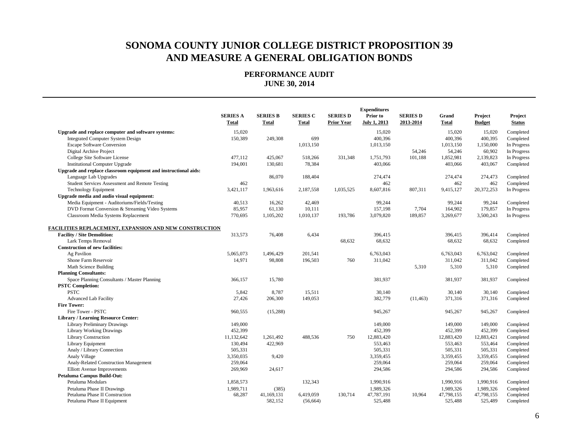|                                                                 | <b>SERIES A</b><br>Total | <b>SERIES B</b><br>Total | <b>SERIES C</b><br><b>Total</b> | <b>SERIES D</b><br><b>Prior Year</b> | <b>Expenditures</b><br>Prior to<br>July 1, 2013 | <b>SERIES D</b><br>2013-2014 | Grand<br><b>Total</b> | Project<br><b>Budget</b> | Project<br><b>Status</b> |
|-----------------------------------------------------------------|--------------------------|--------------------------|---------------------------------|--------------------------------------|-------------------------------------------------|------------------------------|-----------------------|--------------------------|--------------------------|
| Upgrade and replace computer and software systems:              | 15,020                   |                          |                                 |                                      | 15,020                                          |                              | 15,020                | 15,020                   | Completed                |
| <b>Integrated Computer System Design</b>                        | 150,389                  | 249,308                  | 699                             |                                      | 400,396                                         |                              | 400,396               | 400,395                  | Completed                |
| <b>Escape Software Conversion</b>                               |                          |                          | 1,013,150                       |                                      | 1,013,150                                       |                              | 1,013,150             | 1,150,000                | In Progress              |
| Digital Archive Project                                         |                          |                          |                                 |                                      |                                                 | 54,246                       | 54,246                | 60,902                   | In Progress              |
| College Site Software License                                   | 477,112                  | 425,067                  | 518,266                         | 331.348                              | 1,751,793                                       | 101,188                      | 1,852,981             | 2,139,823                | In Progress              |
| <b>Institutional Computer Upgrade</b>                           | 194,001                  | 130,681                  | 78,384                          |                                      | 403,066                                         |                              | 403,066               | 403,067                  | Completed                |
| Upgrade and replace classroom equipment and instructional aids: |                          |                          |                                 |                                      |                                                 |                              |                       |                          |                          |
| Language Lab Upgrades                                           |                          | 86,070                   | 188,404                         |                                      | 274,474                                         |                              | 274,474               | 274,473                  | Completed                |
| <b>Student Services Assessment and Remote Testing</b>           | 462                      |                          |                                 |                                      | 462                                             |                              | 462                   | 462                      | Completed                |
| <b>Technology Equipment</b>                                     | 3,421,117                | 1,963,616                | 2,187,558                       | 1,035,525                            | 8,607,816                                       | 807,311                      | 9,415,127             | 20,372,253               | In Progress              |
| Upgrade media and audio visual equipment:                       |                          |                          |                                 |                                      |                                                 |                              |                       |                          |                          |
| Media Equipment - Auditoriums/Fields/Testing                    | 40,513                   | 16,262                   | 42,469                          |                                      | 99,244                                          |                              | 99,244                | 99,244                   | Completed                |
| DVD Format Conversion & Streaming Video Systems                 | 85,957                   | 61,130                   | 10,111                          |                                      | 157,198                                         | 7,704                        | 164,902               | 179,857                  | In Progress              |
| Classroom Media Systems Replacement                             | 770,695                  | 1,105,202                | 1,010,137                       | 193,786                              | 3,079,820                                       | 189,857                      | 3,269,677             | 3,500,243                | In Progress              |
| FACILITIES REPLACEMENT, EXPANSION AND NEW CONSTRUCTION          |                          |                          |                                 |                                      |                                                 |                              |                       |                          |                          |
| <b>Facility / Site Demolition:</b>                              | 313,573                  | 76,408                   | 6,434                           |                                      | 396,415                                         |                              | 396,415               | 396,414                  | Completed                |
| Lark Temps Removal                                              |                          |                          |                                 | 68,632                               | 68,632                                          |                              | 68,632                | 68,632                   | Completed                |
| <b>Construction of new facilities:</b>                          |                          |                          |                                 |                                      |                                                 |                              |                       |                          |                          |
| Ag Pavilion                                                     | 5,065,073                | 1,496,429                | 201.541                         |                                      | 6,763,043                                       |                              | 6,763,043             | 6,763,042                | Completed                |
| Shone Farm Reservoir                                            | 14,971                   | 98,808                   | 196,503                         | 760                                  | 311,042                                         |                              | 311,042               | 311,042                  | Completed                |
| Math Science Building                                           |                          |                          |                                 |                                      |                                                 | 5,310                        | 5,310                 | 5,310                    | Completed                |
| <b>Planning Consultants:</b>                                    |                          |                          |                                 |                                      |                                                 |                              |                       |                          |                          |
| Space Planning Consultants / Master Planning                    | 366,157                  | 15,780                   |                                 |                                      | 381,937                                         |                              | 381,937               | 381,937                  | Completed                |
| <b>PSTC Completion:</b>                                         |                          |                          |                                 |                                      |                                                 |                              |                       |                          |                          |
| <b>PSTC</b>                                                     | 5.842                    | 8,787                    | 15,511                          |                                      | 30.140                                          |                              | 30.140                | 30,140                   | Completed                |
| <b>Advanced Lab Facility</b>                                    | 27,426                   | 206,300                  | 149,053                         |                                      | 382,779                                         | (11, 463)                    | 371,316               | 371,316                  | Completed                |
| <b>Fire Tower:</b>                                              |                          |                          |                                 |                                      |                                                 |                              |                       |                          |                          |
| Fire Tower - PSTC                                               | 960,555                  | (15, 288)                |                                 |                                      | 945,267                                         |                              | 945,267               | 945,267                  | Completed                |
| <b>Library / Learning Resource Center:</b>                      |                          |                          |                                 |                                      |                                                 |                              |                       |                          |                          |
| <b>Library Preliminary Drawings</b>                             | 149,000                  |                          |                                 |                                      | 149,000                                         |                              | 149,000               | 149,000                  | Completed                |
| <b>Library Working Drawings</b>                                 | 452,399                  |                          |                                 |                                      | 452,399                                         |                              | 452,399               | 452,399                  | Completed                |
| Library Construction                                            | 11,132,642               | 1,261,492                | 488,536                         | 750                                  | 12,883,420                                      |                              | 12,883,420            | 12,883,421               | Completed                |
| Library Equipment                                               | 130,494                  | 422,969                  |                                 |                                      | 553,463                                         |                              | 553,463               | 553,464                  | Completed                |
| Analy / Library Connection                                      | 505,331                  |                          |                                 |                                      | 505,331                                         |                              | 505,331               | 505,331                  | Completed                |
| Analy Village                                                   | 3,350,035                | 9,420                    |                                 |                                      | 3,359,455                                       |                              | 3,359,455             | 3,359,455                | Completed                |
| Analy-Related Construction Management                           | 259,064                  |                          |                                 |                                      | 259,064                                         |                              | 259,064               | 259,064                  | Completed                |
| <b>Elliott Avenue Improvements</b>                              | 269,969                  | 24,617                   |                                 |                                      | 294,586                                         |                              | 294,586               | 294,586                  | Completed                |
| Petaluma Campus Build-Out:                                      |                          |                          |                                 |                                      |                                                 |                              |                       |                          |                          |
| Petaluma Modulars                                               | 1,858,573                |                          | 132,343                         |                                      | 1,990,916                                       |                              | 1,990,916             | 1,990,916                | Completed                |
| Petaluma Phase II Drawings                                      | 1,989,711                | (385)                    |                                 |                                      | 1,989,326                                       |                              | 1,989,326             | 1,989,326                | Completed                |
| Petaluma Phase II Construction                                  | 68,287                   | 41,169,131               | 6,419,059                       | 130,714                              | 47,787,191                                      | 10,964                       | 47,798,155            | 47,798,155               | Completed                |
| Petaluma Phase II Equipment                                     |                          | 582,152                  | (56, 664)                       |                                      | 525,488                                         |                              | 525,488               | 525,489                  | Completed                |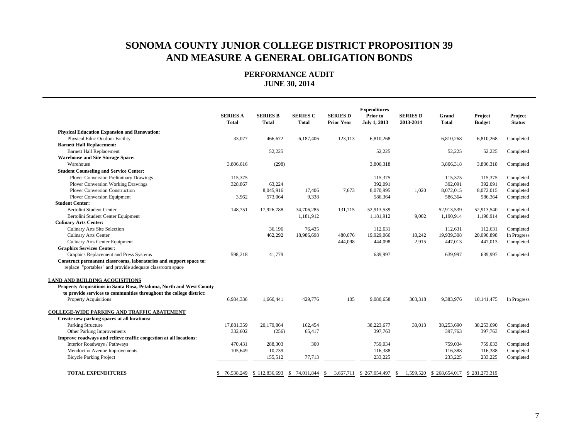|                                                                      | <b>SERIES A</b><br>Total | <b>SERIES B</b><br>Total                 | <b>SERIES C</b><br><b>Total</b> | <b>SERIES D</b><br><b>Prior Year</b> | <b>Expenditures</b><br>Prior to<br><b>July 1, 2013</b> | <b>SERIES D</b><br>2013-2014 | Grand<br><b>Total</b> | Project<br><b>Budget</b> | Project<br><b>Status</b> |
|----------------------------------------------------------------------|--------------------------|------------------------------------------|---------------------------------|--------------------------------------|--------------------------------------------------------|------------------------------|-----------------------|--------------------------|--------------------------|
| <b>Physical Education Expansion and Renovation:</b>                  |                          |                                          |                                 |                                      |                                                        |                              |                       |                          |                          |
| Physical Educ Outdoor Facility                                       | 33,077                   | 466,672                                  | 6.187.406                       | 123,113                              | 6,810,268                                              |                              | 6.810.268             | 6,810,268                | Completed                |
| <b>Barnett Hall Replacement:</b>                                     |                          |                                          |                                 |                                      |                                                        |                              |                       |                          |                          |
| <b>Barnett Hall Replacement</b>                                      |                          | 52,225                                   |                                 |                                      | 52,225                                                 |                              | 52,225                | 52,225                   | Completed                |
| <b>Warehouse and Site Storage Space:</b>                             |                          |                                          |                                 |                                      |                                                        |                              |                       |                          |                          |
| Warehouse                                                            | 3,806,616                | (298)                                    |                                 |                                      | 3,806,318                                              |                              | 3,806,318             | 3,806,318                | Completed                |
| <b>Student Counseling and Service Center:</b>                        |                          |                                          |                                 |                                      |                                                        |                              |                       |                          |                          |
| <b>Plover Conversion Preliminary Drawings</b>                        | 115,375                  |                                          |                                 |                                      | 115,375                                                |                              | 115,375               | 115,375                  | Completed                |
| <b>Plover Conversion Working Drawings</b>                            | 328,867                  | 63,224                                   |                                 |                                      | 392,091                                                |                              | 392,091               | 392,091                  | Completed                |
| <b>Plover Conversion Construction</b>                                |                          | 8,045,916                                | 17,406                          | 7,673                                | 8,070,995                                              | 1,020                        | 8,072,015             | 8,072,015                | Completed                |
| Plover Conversion Equipment                                          | 3,962                    | 573,064                                  | 9,338                           |                                      | 586,364                                                |                              | 586,364               | 586,364                  | Completed                |
| <b>Student Center:</b>                                               |                          |                                          |                                 |                                      |                                                        |                              |                       |                          |                          |
| Bertolini Student Center                                             | 148,751                  | 17,926,788                               | 34,706,285                      | 131,715                              | 52,913,539                                             |                              | 52,913,539            | 52,913,540               | Completed                |
| Bertolini Student Center Equipment                                   |                          |                                          | 1,181,912                       |                                      | 1,181,912                                              | 9,002                        | 1,190,914             | 1,190,914                | Completed                |
| <b>Culinary Arts Center:</b>                                         |                          |                                          |                                 |                                      |                                                        |                              |                       |                          |                          |
| Culinary Arts Site Selection                                         |                          | 36,196                                   | 76,435                          |                                      | 112,631                                                |                              | 112,631               | 112,631                  | Completed                |
| Culinary Arts Center                                                 |                          | 462,292                                  | 18,986,698                      | 480,076                              | 19,929,066                                             | 10,242                       | 19,939,308            | 20,090,898               | In Progress              |
| <b>Culinary Arts Center Equipment</b>                                |                          |                                          |                                 | 444,098                              | 444,098                                                | 2,915                        | 447,013               | 447,013                  | Completed                |
| <b>Graphics Services Center:</b>                                     |                          |                                          |                                 |                                      |                                                        |                              |                       |                          |                          |
| Graphics Replacement and Press Systems                               | 598,218                  | 41,779                                   |                                 |                                      | 639,997                                                |                              | 639,997               | 639,997                  | Completed                |
| Construct permanent classrooms, laboratories and support space to:   |                          |                                          |                                 |                                      |                                                        |                              |                       |                          |                          |
| replace "portables" and provide adequate classroom space             |                          |                                          |                                 |                                      |                                                        |                              |                       |                          |                          |
| <b>LAND AND BUILDING ACQUISITIONS</b>                                |                          |                                          |                                 |                                      |                                                        |                              |                       |                          |                          |
| Property Acquisitions in Santa Rosa, Petaluma, North and West County |                          |                                          |                                 |                                      |                                                        |                              |                       |                          |                          |
| to provide services to communities throughout the college district:  |                          |                                          |                                 |                                      |                                                        |                              |                       |                          |                          |
| <b>Property Acquisitions</b>                                         | 6,984,336                | 1,666,441                                | 429,776                         | 105                                  | 9,080,658                                              | 303,318                      | 9,383,976             | 10.141.475               | In Progress              |
| <b>COLLEGE-WIDE PARKING AND TRAFFIC ABATEMENT</b>                    |                          |                                          |                                 |                                      |                                                        |                              |                       |                          |                          |
| Create new parking spaces at all locations:                          |                          |                                          |                                 |                                      |                                                        |                              |                       |                          |                          |
| Parking Structure                                                    | 17,881,359               | 20,179,864                               | 162,454                         |                                      | 38,223,677                                             | 30,013                       | 38,253,690            | 38,253,690               | Completed                |
| Other Parking Improvements                                           | 332,602                  | (256)                                    | 65,417                          |                                      | 397,763                                                |                              | 397,763               | 397,763                  | Completed                |
| Improve roadways and relieve traffic congestion at all locations:    |                          |                                          |                                 |                                      |                                                        |                              |                       |                          |                          |
| Interior Roadways / Pathways                                         | 470.431                  | 288,303                                  | 300                             |                                      | 759,034                                                |                              | 759,034               | 759,033                  | Completed                |
| Mendocino Avenue Improvements                                        | 105,649                  | 10,739                                   |                                 |                                      | 116,388                                                |                              | 116,388               | 116,388                  | Completed                |
| <b>Bicycle Parking Project</b>                                       |                          | 155,512                                  | 77,713                          |                                      | 233,225                                                |                              | 233,225               | 233,225                  | Completed                |
| <b>TOTAL EXPENDITURES</b>                                            | S.                       | 76,538,249 \$112,836,693 \$74,011,844 \$ |                                 |                                      | 3,667,711 \$ 267,054,497                               | 1,599,520<br>-S              | \$268,654,017         | \$281,273,319            |                          |
|                                                                      |                          |                                          |                                 |                                      |                                                        |                              |                       |                          |                          |